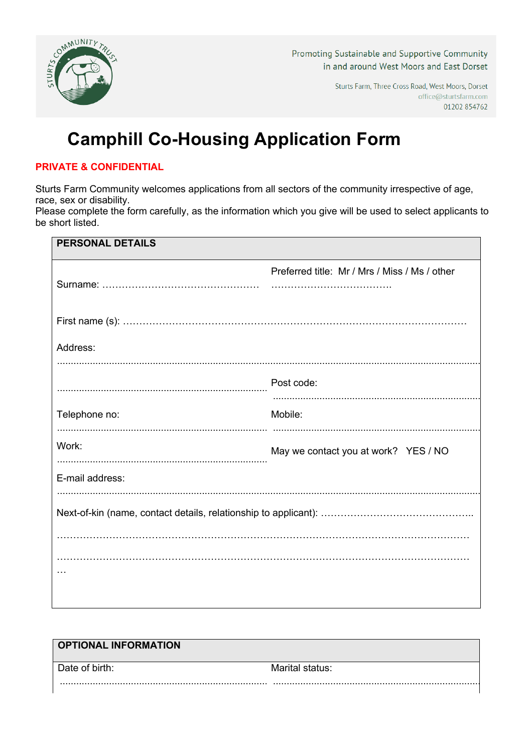

Promoting Sustainable and Supportive Community in and around West Moors and East Dorset

> Sturts Farm, Three Cross Road, West Moors, Dorset office@sturtsfarm.com 01202 854762

# **Camphill Co-Housing Application Form**

### **PRIVATE & CONFIDENTIAL**

Sturts Farm Community welcomes applications from all sectors of the community irrespective of age, race, sex or disability.

Please complete the form carefully, as the information which you give will be used to select applicants to be short listed.

| <b>PERSONAL DETAILS</b> |                                               |
|-------------------------|-----------------------------------------------|
|                         | Preferred title: Mr / Mrs / Miss / Ms / other |
|                         |                                               |
|                         |                                               |
|                         |                                               |
| Address:                |                                               |
|                         |                                               |
|                         | Post code:                                    |
|                         |                                               |
| Telephone no:           | Mobile:                                       |
| Work:                   |                                               |
|                         | May we contact you at work? YES / NO          |
| E-mail address:         |                                               |
|                         |                                               |
|                         |                                               |
|                         |                                               |
|                         |                                               |
|                         |                                               |
|                         |                                               |
|                         |                                               |

| <b>OPTIONAL INFORMATION</b> |                 |
|-----------------------------|-----------------|
| Date of birth:              | Marital status: |
|                             |                 |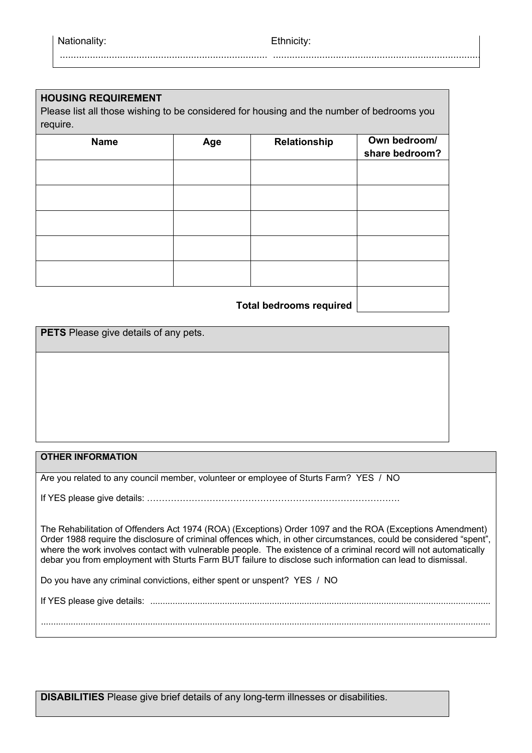............................................................................... ..............................................................................

#### **HOUSING REQUIREMENT**

Please list all those wishing to be considered for housing and the number of bedrooms you require.

| <b>Name</b> | Age | Relationship | Own bedroom/   |
|-------------|-----|--------------|----------------|
|             |     |              | share bedroom? |
|             |     |              |                |
|             |     |              |                |
|             |     |              |                |
|             |     |              |                |
|             |     |              |                |
|             |     |              |                |
|             |     |              |                |
|             |     |              |                |
|             |     |              |                |
|             |     |              |                |
|             |     |              |                |

**Total bedrooms required**

**PETS** Please give details of any pets.

#### **OTHER INFORMATION**

Are you related to any council member, volunteer or employee of Sturts Farm? YES / NO

If YES please give details: ………………………………………………………………………….

The Rehabilitation of Offenders Act 1974 (ROA) (Exceptions) Order 1097 and the ROA (Exceptions Amendment) Order 1988 require the disclosure of criminal offences which, in other circumstances, could be considered "spent", where the work involves contact with vulnerable people. The existence of a criminal record will not automatically debar you from employment with Sturts Farm BUT failure to disclose such information can lead to dismissal.

Do you have any criminal convictions, either spent or unspent? YES / NO

If YES please give details: .........................................................................................................................................

.....................................................................................................................................................................................

**DISABILITIES** Please give brief details of any long-term illnesses or disabilities.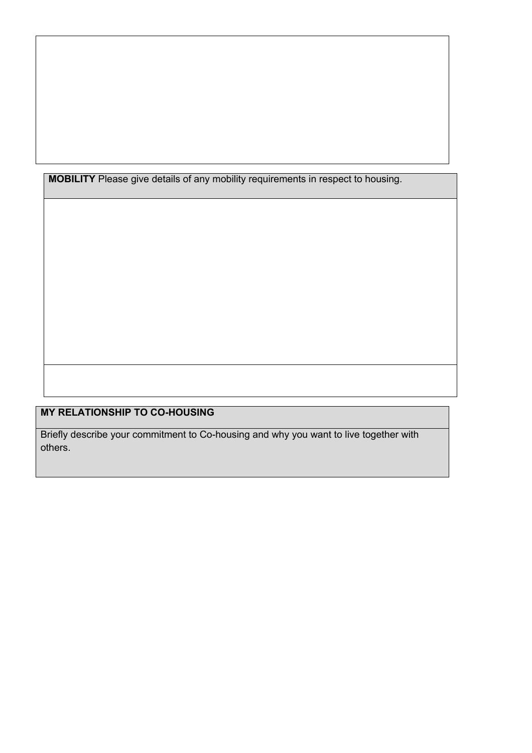**MOBILITY** Please give details of any mobility requirements in respect to housing.

## **MY RELATIONSHIP TO CO-HOUSING**

Briefly describe your commitment to Co-housing and why you want to live together with others.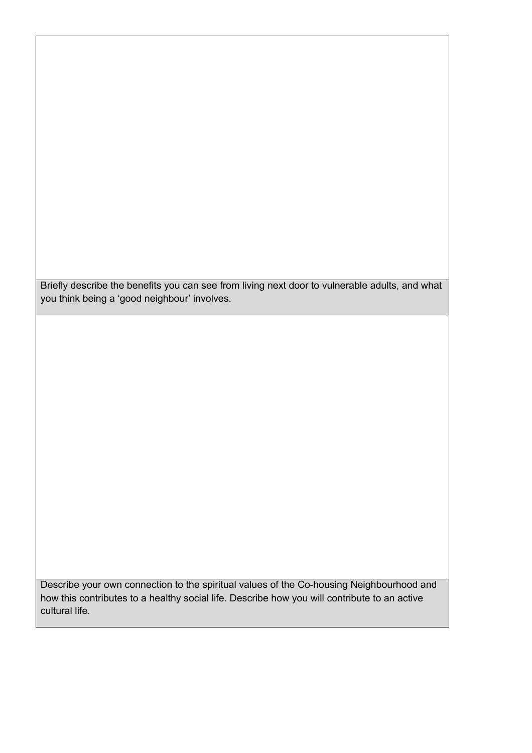Briefly describe the benefits you can see from living next door to vulnerable adults, and what you think being a 'good neighbour' involves.

Describe your own connection to the spiritual values of the Co-housing Neighbourhood and how this contributes to a healthy social life. Describe how you will contribute to an active cultural life.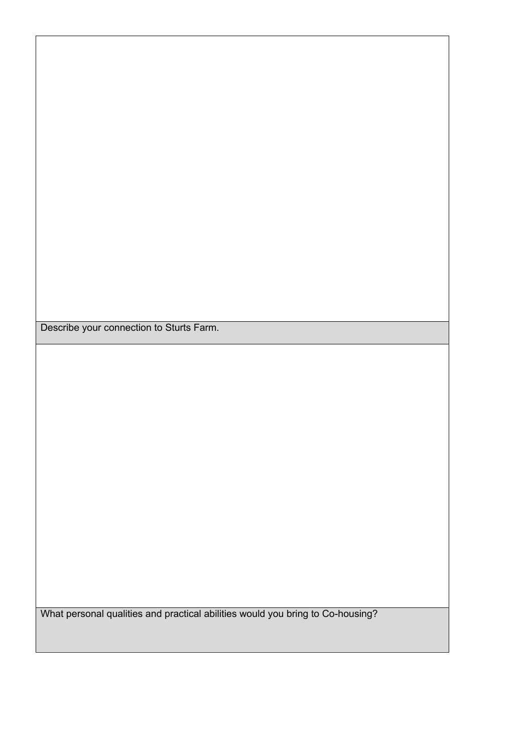Describe your connection to Sturts Farm.

What personal qualities and practical abilities would you bring to Co-housing?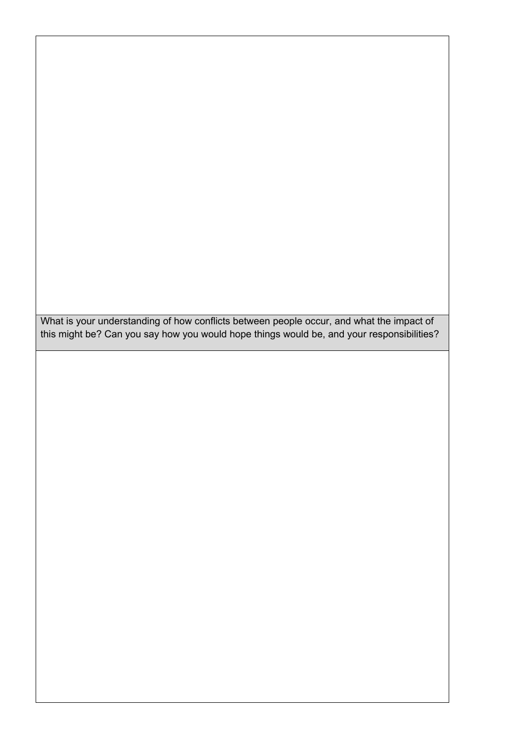What is your understanding of how conflicts between people occur, and what the impact of this might be? Can you say how you would hope things would be, and your responsibilities?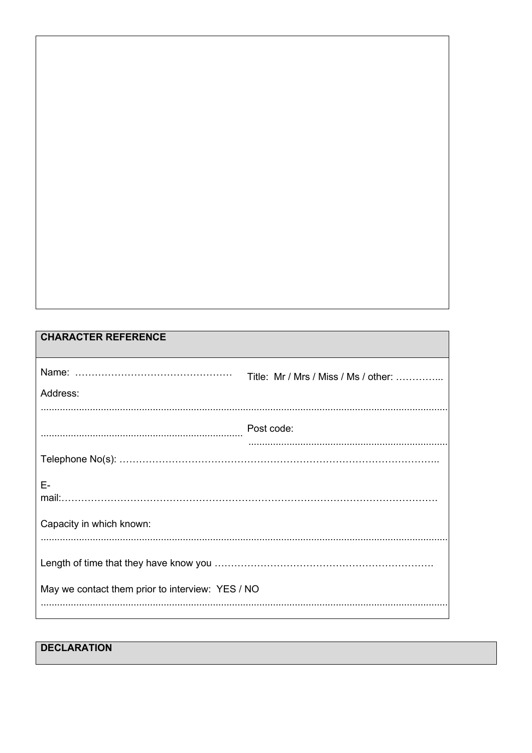| <b>CHARACTER REFERENCE</b>                       |                                      |
|--------------------------------------------------|--------------------------------------|
|                                                  | Title: Mr / Mrs / Miss / Ms / other: |
| Address:                                         |                                      |
| Post code:                                       |                                      |
|                                                  |                                      |
| F-                                               |                                      |
| Capacity in which known:                         |                                      |
| May we contact them prior to interview: YES / NO |                                      |
|                                                  |                                      |

**DECLARATION**